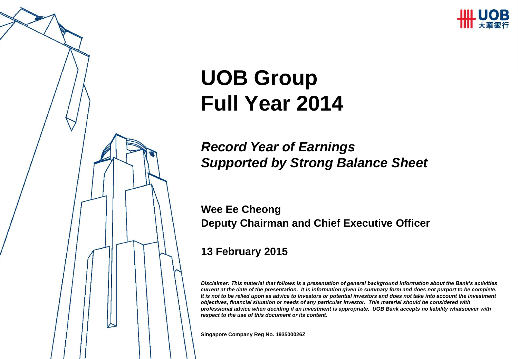

# **UOB Group Full Year 2014**

### *Record Year of Earnings Supported by Strong Balance Sheet*

**Wee Ee Cheong Deputy Chairman and Chief Executive Officer**

### **13 February 2015**

*Disclaimer: This material that follows is a presentation of general background information about the Bank's activities current at the date of the presentation. It is information given in summary form and does not purport to be complete. It is not to be relied upon as advice to investors or potential investors and does not take into account the investment objectives, financial situation or needs of any particular investor. This material should be considered with professional advice when deciding if an investment is appropriate. UOB Bank accepts no liability whatsoever with respect to the use of this document or its content.*

**Singapore Company Reg No. 193500026Z**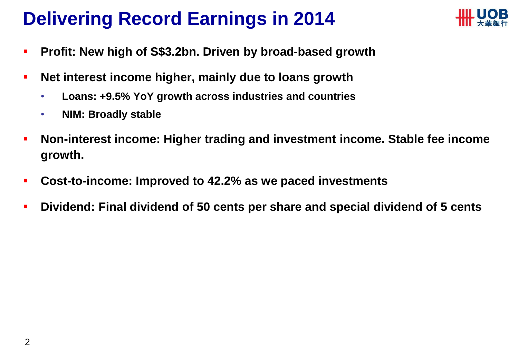### **Delivering Record Earnings in 2014**



- **Profit: New high of S\$3.2bn. Driven by broad-based growth**
- **Net interest income higher, mainly due to loans growth**
	- **Loans: +9.5% YoY growth across industries and countries**
	- **NIM: Broadly stable**
- **Non-interest income: Higher trading and investment income. Stable fee income growth.**
- **Cost-to-income: Improved to 42.2% as we paced investments**
- **Dividend: Final dividend of 50 cents per share and special dividend of 5 cents**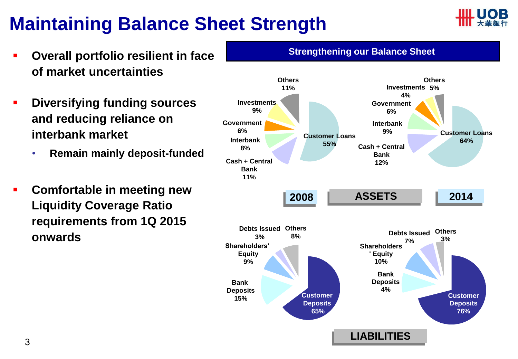### **Maintaining Balance Sheet Strength**



- **Overall portfolio resilient in face of market uncertainties**
- **Diversifying funding sources and reducing reliance on interbank market**
	- **Remain mainly deposit-funded**
- **Comfortable in meeting new Liquidity Coverage Ratio requirements from 1Q 2015 onwards**
- **Investments 9% Cash + Central Bank 11% Others 11% Customer Loans 55% Interbank 8% Government 6% Customer Loans 64% Cash + Central Bank 12% Interbank 9% Government 6% Investments 5% 4% Others Customer Deposits 65% Bank Deposits 15% Shareholders' Equity 9% Debts Issued Others 3% 8% 2008 ASSETS 2014 Customer Deposits 76% Bank Deposits 4% Shareholders ' Equity 10% Debts Issued 7% Others 3% LIABILITIES**

**Strengthening our Balance Sheet**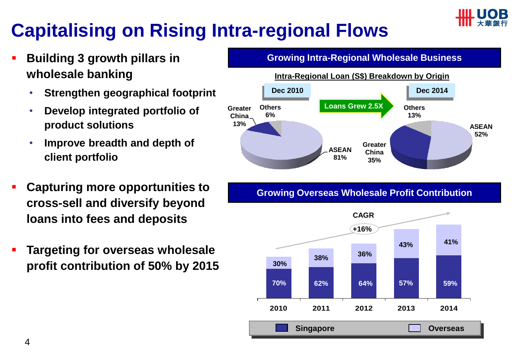

### **Capitalising on Rising Intra-regional Flows**

- **Building 3 growth pillars in wholesale banking**
	- **Strengthen geographical footprint**
	- **Develop integrated portfolio of product solutions**
	- **Improve breadth and depth of client portfolio**
- **Capturing more opportunities to cross-sell and diversify beyond loans into fees and deposits**
- **Targeting for overseas wholesale profit contribution of 50% by 2015**



#### **Growing Overseas Wholesale Profit Contribution**

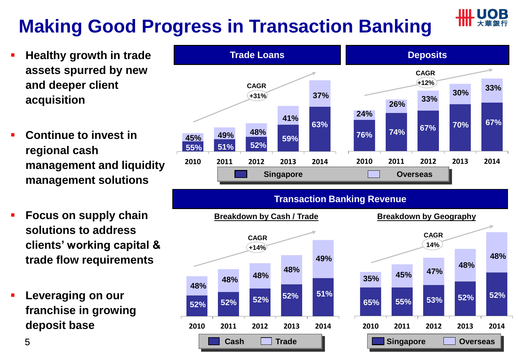## **Making Good Progress in Transaction Banking**

- **Healthy growth in trade assets spurred by new and deeper client acquisition**
- **Continue to invest in regional cash management and liquidity management solutions**
- **Focus on supply chain solutions to address clients' working capital & trade flow requirements**
- **Leveraging on our franchise in growing deposit base**

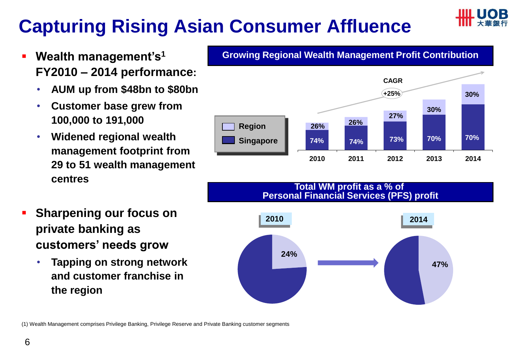### **Capturing Rising Asian Consumer Affluence**

- **Wealth management's<sup>1</sup> FY2010 – 2014 performance:**
	- **AUM up from \$48bn to \$80bn**
	- **Customer base grew from 100,000 to 191,000**
	- **Widened regional wealth management footprint from 29 to 51 wealth management centres**
- **Sharpening our focus on private banking as customers' needs grow**
	- **Tapping on strong network and customer franchise in the region**



#### **Total WM profit as a % of Personal Financial Services (PFS) profit**



(1) Wealth Management comprises Privilege Banking, Privilege Reserve and Private Banking customer segments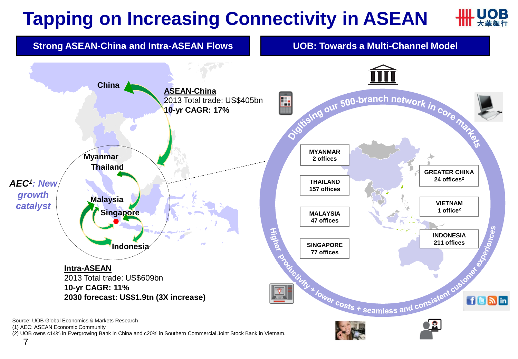#### ЮB **Tapping on Increasing Connectivity in ASEAN**



(1) AEC: ASEAN Economic Community

(2) UOB owns c14% in Evergrowing Bank in China and c20% in Southern Commercial Joint Stock Bank in Vietnam.